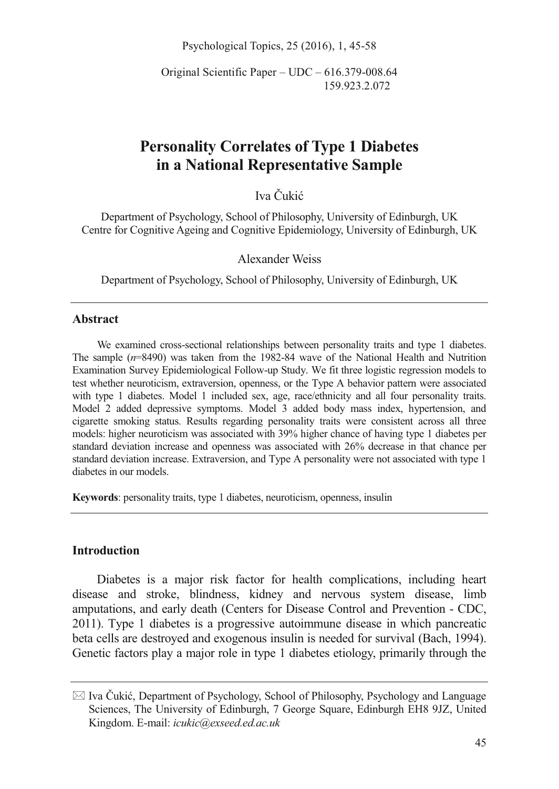Psychological Topics, 25 (2016), 1, 45-58

Original Scientific Paper – UDC – 616.379-008.64 159.923.2.072

# **Personality Correlates of Type 1 Diabetes in a National Representative Sample**

Iva Čukić

Department of Psychology, School of Philosophy, University of Edinburgh, UK Centre for Cognitive Ageing and Cognitive Epidemiology, University of Edinburgh, UK

Alexander Weiss

Department of Psychology, School of Philosophy, University of Edinburgh, UK

#### **Abstract**

We examined cross-sectional relationships between personality traits and type 1 diabetes. The sample (*n*=8490) was taken from the 1982-84 wave of the National Health and Nutrition Examination Survey Epidemiological Follow-up Study. We fit three logistic regression models to test whether neuroticism, extraversion, openness, or the Type A behavior pattern were associated with type 1 diabetes. Model 1 included sex, age, race/ethnicity and all four personality traits. Model 2 added depressive symptoms. Model 3 added body mass index, hypertension, and cigarette smoking status. Results regarding personality traits were consistent across all three models: higher neuroticism was associated with 39% higher chance of having type 1 diabetes per standard deviation increase and openness was associated with 26% decrease in that chance per standard deviation increase. Extraversion, and Type A personality were not associated with type 1 diabetes in our models.

**Keywords**: personality traits, type 1 diabetes, neuroticism, openness, insulin

#### **Introduction**

Diabetes is a major risk factor for health complications, including heart disease and stroke, blindness, kidney and nervous system disease, limb amputations, and early death (Centers for Disease Control and Prevention - CDC, 2011). Type 1 diabetes is a progressive autoimmune disease in which pancreatic beta cells are destroyed and exogenous insulin is needed for survival (Bach, 1994). Genetic factors play a major role in type 1 diabetes etiology, primarily through the

<sup>-</sup> Iva Čukić, Department of Psychology, School of Philosophy, Psychology and Language Sciences, The University of Edinburgh, 7 George Square, Edinburgh EH8 9JZ, United Kingdom. E-mail: *icukic@exseed.ed.ac.uk*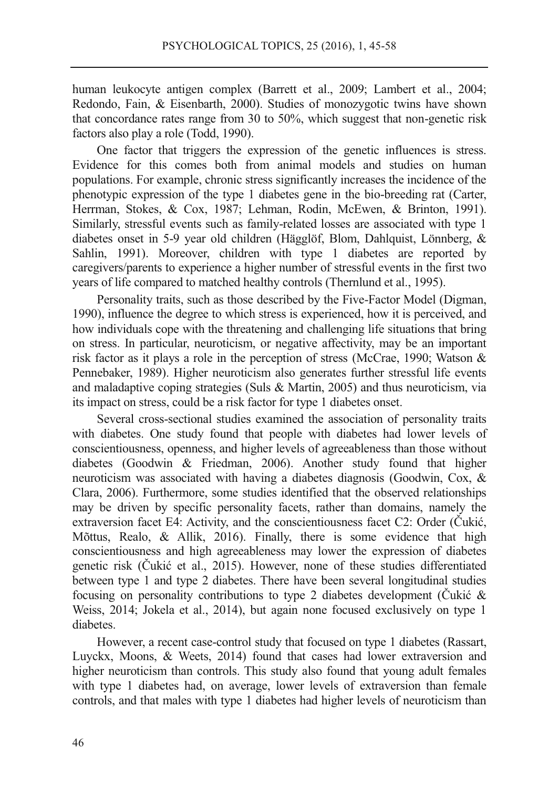human leukocyte antigen complex (Barrett et al., 2009; Lambert et al., 2004; Redondo, Fain, & Eisenbarth, 2000). Studies of monozygotic twins have shown that concordance rates range from 30 to 50%, which suggest that non-genetic risk factors also play a role (Todd, 1990).

One factor that triggers the expression of the genetic influences is stress. Evidence for this comes both from animal models and studies on human populations. For example, chronic stress significantly increases the incidence of the phenotypic expression of the type 1 diabetes gene in the bio-breeding rat (Carter, Herrman, Stokes, & Cox, 1987; Lehman, Rodin, McEwen, & Brinton, 1991). Similarly, stressful events such as family-related losses are associated with type 1 diabetes onset in 5-9 year old children (Hägglöf, Blom, Dahlquist, Lönnberg, & Sahlin, 1991). Moreover, children with type 1 diabetes are reported by caregivers/parents to experience a higher number of stressful events in the first two years of life compared to matched healthy controls (Thernlund et al., 1995).

Personality traits, such as those described by the Five-Factor Model (Digman, 1990), influence the degree to which stress is experienced, how it is perceived, and how individuals cope with the threatening and challenging life situations that bring on stress. In particular, neuroticism, or negative affectivity, may be an important risk factor as it plays a role in the perception of stress (McCrae, 1990; Watson & Pennebaker, 1989). Higher neuroticism also generates further stressful life events and maladaptive coping strategies (Suls & Martin, 2005) and thus neuroticism, via its impact on stress, could be a risk factor for type 1 diabetes onset.

Several cross-sectional studies examined the association of personality traits with diabetes. One study found that people with diabetes had lower levels of conscientiousness, openness, and higher levels of agreeableness than those without diabetes (Goodwin & Friedman, 2006). Another study found that higher neuroticism was associated with having a diabetes diagnosis (Goodwin, Cox, & Clara, 2006). Furthermore, some studies identified that the observed relationships may be driven by specific personality facets, rather than domains, namely the extraversion facet E4: Activity, and the conscientiousness facet C2: Order (Čukić, Mõttus, Realo, & Allik, 2016). Finally, there is some evidence that high conscientiousness and high agreeableness may lower the expression of diabetes genetic risk (Čukić et al., 2015). However, none of these studies differentiated between type 1 and type 2 diabetes. There have been several longitudinal studies focusing on personality contributions to type 2 diabetes development (Čukić & Weiss, 2014; Jokela et al., 2014), but again none focused exclusively on type 1 diabetes.

However, a recent case-control study that focused on type 1 diabetes (Rassart, Luyckx, Moons, & Weets, 2014) found that cases had lower extraversion and higher neuroticism than controls. This study also found that young adult females with type 1 diabetes had, on average, lower levels of extraversion than female controls, and that males with type 1 diabetes had higher levels of neuroticism than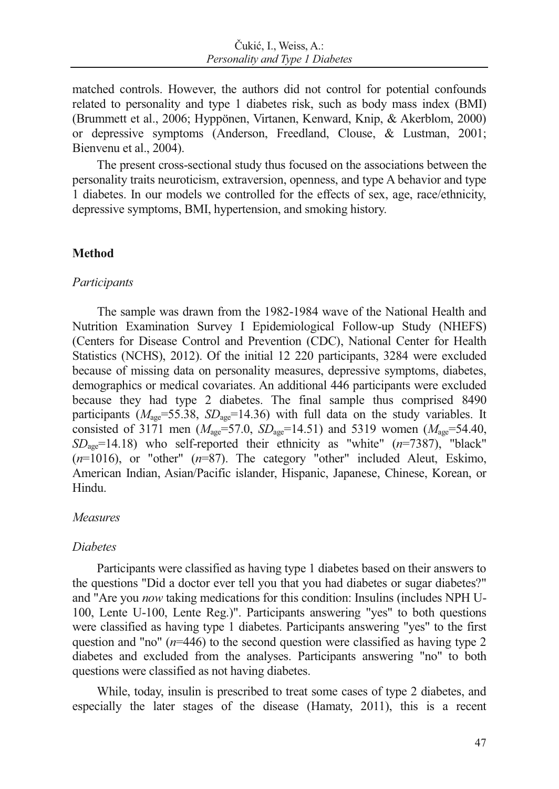matched controls. However, the authors did not control for potential confounds related to personality and type 1 diabetes risk, such as body mass index (BMI) (Brummett et al., 2006; Hyppönen, Virtanen, Kenward, Knip, & Akerblom, 2000) or depressive symptoms (Anderson, Freedland, Clouse, & Lustman, 2001; Bienvenu et al., 2004).

The present cross-sectional study thus focused on the associations between the personality traits neuroticism, extraversion, openness, and type A behavior and type 1 diabetes. In our models we controlled for the effects of sex, age, race/ethnicity, depressive symptoms, BMI, hypertension, and smoking history.

### **Method**

### *Participants*

The sample was drawn from the 1982-1984 wave of the National Health and Nutrition Examination Survey I Epidemiological Follow-up Study (NHEFS) (Centers for Disease Control and Prevention (CDC), National Center for Health Statistics (NCHS), 2012). Of the initial 12 220 participants, 3284 were excluded because of missing data on personality measures, depressive symptoms, diabetes, demographics or medical covariates. An additional 446 participants were excluded because they had type 2 diabetes. The final sample thus comprised 8490 participants ( $M_{\text{age}}$ =55.38,  $SD_{\text{age}}$ =14.36) with full data on the study variables. It consisted of 3171 men ( $M_{\text{age}}$ =57.0,  $SD_{\text{age}}$ =14.51) and 5319 women ( $M_{\text{age}}$ =54.40,  $SD<sub>ave</sub>=14.18$ ) who self-reported their ethnicity as "white" ( $n=7387$ ), "black" (*n*=1016), or "other" (*n*=87). The category "other" included Aleut, Eskimo, American Indian, Asian/Pacific islander, Hispanic, Japanese, Chinese, Korean, or Hindu.

# *Measures*

# *Diabetes*

Participants were classified as having type 1 diabetes based on their answers to the questions "Did a doctor ever tell you that you had diabetes or sugar diabetes?" and "Are you *now* taking medications for this condition: Insulins (includes NPH U-100, Lente U-100, Lente Reg.)". Participants answering "yes" to both questions were classified as having type 1 diabetes. Participants answering "yes" to the first question and "no" ( $n=446$ ) to the second question were classified as having type 2 diabetes and excluded from the analyses. Participants answering "no" to both questions were classified as not having diabetes.

While, today, insulin is prescribed to treat some cases of type 2 diabetes, and especially the later stages of the disease (Hamaty, 2011), this is a recent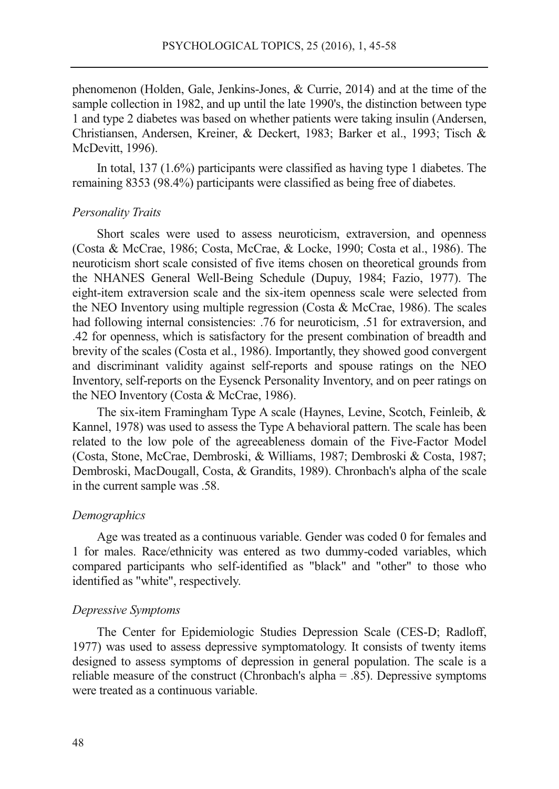phenomenon (Holden, Gale, Jenkins-Jones, & Currie, 2014) and at the time of the sample collection in 1982, and up until the late 1990's, the distinction between type 1 and type 2 diabetes was based on whether patients were taking insulin (Andersen, Christiansen, Andersen, Kreiner, & Deckert, 1983; Barker et al., 1993; Tisch & McDevitt, 1996).

In total, 137 (1.6%) participants were classified as having type 1 diabetes. The remaining 8353 (98.4%) participants were classified as being free of diabetes.

#### *Personality Traits*

Short scales were used to assess neuroticism, extraversion, and openness (Costa & McCrae, 1986; Costa, McCrae, & Locke, 1990; Costa et al., 1986). The neuroticism short scale consisted of five items chosen on theoretical grounds from the NHANES General Well-Being Schedule (Dupuy, 1984; Fazio, 1977). The eight-item extraversion scale and the six-item openness scale were selected from the NEO Inventory using multiple regression (Costa & McCrae, 1986). The scales had following internal consistencies: .76 for neuroticism, .51 for extraversion, and .42 for openness, which is satisfactory for the present combination of breadth and brevity of the scales (Costa et al., 1986). Importantly, they showed good convergent and discriminant validity against self-reports and spouse ratings on the NEO Inventory, self-reports on the Eysenck Personality Inventory, and on peer ratings on the NEO Inventory (Costa & McCrae, 1986).

The six-item Framingham Type A scale (Haynes, Levine, Scotch, Feinleib, & Kannel, 1978) was used to assess the Type A behavioral pattern. The scale has been related to the low pole of the agreeableness domain of the Five-Factor Model (Costa, Stone, McCrae, Dembroski, & Williams, 1987; Dembroski & Costa, 1987; Dembroski, MacDougall, Costa, & Grandits, 1989). Chronbach's alpha of the scale in the current sample was .58.

#### *Demographics*

Age was treated as a continuous variable. Gender was coded 0 for females and 1 for males. Race/ethnicity was entered as two dummy-coded variables, which compared participants who self-identified as "black" and "other" to those who identified as "white", respectively.

#### *Depressive Symptoms*

The Center for Epidemiologic Studies Depression Scale (CES-D; Radloff, 1977) was used to assess depressive symptomatology. It consists of twenty items designed to assess symptoms of depression in general population. The scale is a reliable measure of the construct (Chronbach's alpha = .85). Depressive symptoms were treated as a continuous variable.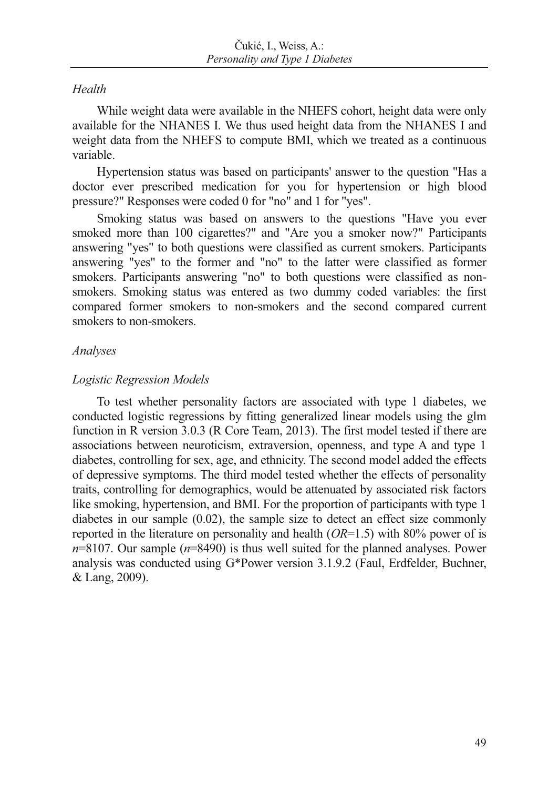### *Health*

While weight data were available in the NHEFS cohort, height data were only available for the NHANES I. We thus used height data from the NHANES I and weight data from the NHEFS to compute BMI, which we treated as a continuous variable.

Hypertension status was based on participants' answer to the question "Has a doctor ever prescribed medication for you for hypertension or high blood pressure?" Responses were coded 0 for "no" and 1 for "yes".

Smoking status was based on answers to the questions "Have you ever smoked more than 100 cigarettes?" and "Are you a smoker now?" Participants answering "yes" to both questions were classified as current smokers. Participants answering "yes" to the former and "no" to the latter were classified as former smokers. Participants answering "no" to both questions were classified as nonsmokers. Smoking status was entered as two dummy coded variables: the first compared former smokers to non-smokers and the second compared current smokers to non-smokers.

### *Analyses*

### *Logistic Regression Models*

To test whether personality factors are associated with type 1 diabetes, we conducted logistic regressions by fitting generalized linear models using the glm function in R version 3.0.3 (R Core Team, 2013). The first model tested if there are associations between neuroticism, extraversion, openness, and type A and type 1 diabetes, controlling for sex, age, and ethnicity. The second model added the effects of depressive symptoms. The third model tested whether the effects of personality traits, controlling for demographics, would be attenuated by associated risk factors like smoking, hypertension, and BMI. For the proportion of participants with type 1 diabetes in our sample (0.02), the sample size to detect an effect size commonly reported in the literature on personality and health (*OR*=1.5) with 80% power of is *n*=8107. Our sample (*n*=8490) is thus well suited for the planned analyses. Power analysis was conducted using G\*Power version 3.1.9.2 (Faul, Erdfelder, Buchner, & Lang, 2009).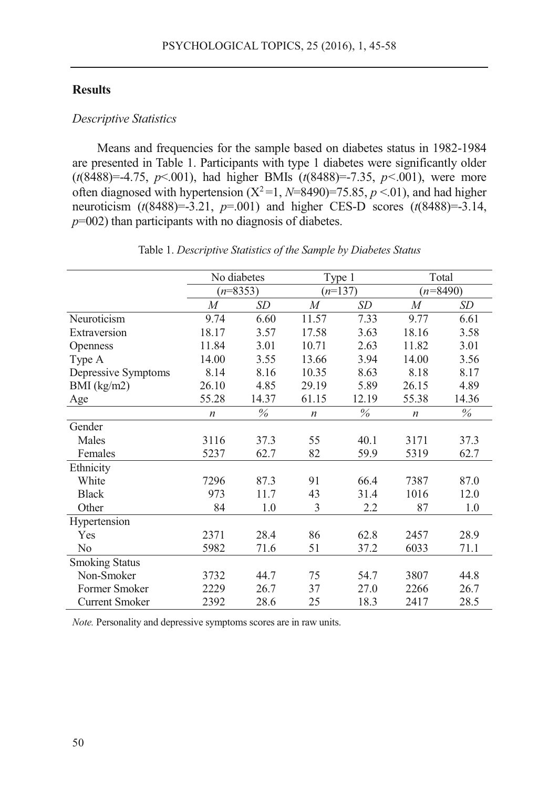### **Results**

#### *Descriptive Statistics*

Means and frequencies for the sample based on diabetes status in 1982-1984 are presented in Table 1. Participants with type 1 diabetes were significantly older (*t*(8488)=-4.75, *p*<.001), had higher BMIs (*t*(8488)=-7.35, *p<*.001), were more often diagnosed with hypertension  $(X^2=1, N=8490)=75.85, p<0.1$ , and had higher neuroticism (*t*(8488)=-3.21, *p*=.001) and higher CES-D scores (*t*(8488)=-3.14, *p*=002) than participants with no diagnosis of diabetes.

|                       | No diabetes      |       | Type 1           |       | Total            |       |  |
|-----------------------|------------------|-------|------------------|-------|------------------|-------|--|
|                       | $(n=8353)$       |       | $(n=137)$        |       | $(n=8490)$       |       |  |
|                       | $\overline{M}$   | SD    | $\overline{M}$   | SD    | $\overline{M}$   | SD    |  |
| Neuroticism           | 9.74             | 6.60  | 11.57            | 7.33  | 9.77             | 6.61  |  |
| Extraversion          | 18.17            | 3.57  | 17.58            | 3.63  | 18.16            | 3.58  |  |
| <b>Openness</b>       | 11.84            | 3.01  | 10.71            | 2.63  | 11.82            | 3.01  |  |
| Type A                | 14.00            | 3.55  | 13.66            | 3.94  | 14.00            | 3.56  |  |
| Depressive Symptoms   | 8.14             | 8.16  | 10.35            | 8.63  | 8.18             | 8.17  |  |
| $BMI$ (kg/m2)         | 26.10            | 4.85  | 29.19            | 5.89  | 26.15            | 4.89  |  |
| Age                   | 55.28            | 14.37 | 61.15            | 12.19 | 55.38            | 14.36 |  |
|                       | $\boldsymbol{n}$ | $\%$  | $\boldsymbol{n}$ | $\%$  | $\boldsymbol{n}$ | $\%$  |  |
| Gender                |                  |       |                  |       |                  |       |  |
| Males                 | 3116             | 37.3  | 55               | 40.1  | 3171             | 37.3  |  |
| Females               | 5237             | 62.7  | 82               | 59.9  | 5319             | 62.7  |  |
| Ethnicity             |                  |       |                  |       |                  |       |  |
| White                 | 7296             | 87.3  | 91               | 66.4  | 7387             | 87.0  |  |
| <b>Black</b>          | 973              | 11.7  | 43               | 31.4  | 1016             | 12.0  |  |
| Other                 | 84               | 1.0   | 3                | 2.2   | 87               | 1.0   |  |
| Hypertension          |                  |       |                  |       |                  |       |  |
| Yes                   | 2371             | 28.4  | 86               | 62.8  | 2457             | 28.9  |  |
| N <sub>o</sub>        | 5982             | 71.6  | 51               | 37.2  | 6033             | 71.1  |  |
| <b>Smoking Status</b> |                  |       |                  |       |                  |       |  |
| Non-Smoker            | 3732             | 44.7  | 75               | 54.7  | 3807             | 44.8  |  |
| Former Smoker         | 2229             | 26.7  | 37               | 27.0  | 2266             | 26.7  |  |
| <b>Current Smoker</b> | 2392             | 28.6  | 25               | 18.3  | 2417             | 28.5  |  |

*Note.* Personality and depressive symptoms scores are in raw units.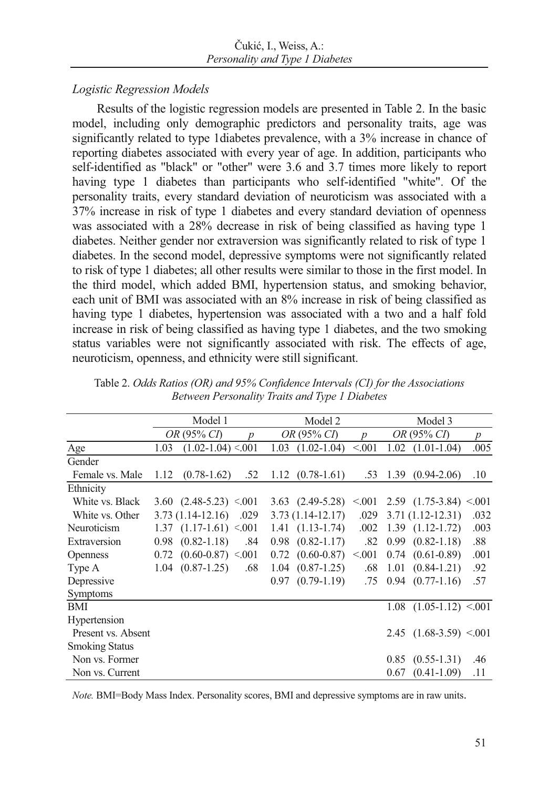# *Logistic Regression Models*

Results of the logistic regression models are presented in Table 2. In the basic model, including only demographic predictors and personality traits, age was significantly related to type 1diabetes prevalence, with a 3% increase in chance of reporting diabetes associated with every year of age. In addition, participants who self-identified as "black" or "other" were 3.6 and 3.7 times more likely to report having type 1 diabetes than participants who self-identified "white". Of the personality traits, every standard deviation of neuroticism was associated with a 37% increase in risk of type 1 diabetes and every standard deviation of openness was associated with a 28% decrease in risk of being classified as having type 1 diabetes. Neither gender nor extraversion was significantly related to risk of type 1 diabetes. In the second model, depressive symptoms were not significantly related to risk of type 1 diabetes; all other results were similar to those in the first model. In the third model, which added BMI, hypertension status, and smoking behavior, each unit of BMI was associated with an 8% increase in risk of being classified as having type 1 diabetes, hypertension was associated with a two and a half fold increase in risk of being classified as having type 1 diabetes, and the two smoking status variables were not significantly associated with risk. The effects of age, neuroticism, openness, and ethnicity were still significant.

|                       | Model 1 |                                   |                  | Model 2 |                            |        | Model 3 |                            |                  |
|-----------------------|---------|-----------------------------------|------------------|---------|----------------------------|--------|---------|----------------------------|------------------|
|                       |         | <i>OR</i> (95% <i>CI</i> )        | $\boldsymbol{v}$ |         | <i>OR</i> (95% <i>CI</i> ) | n      |         | <i>OR</i> (95% <i>CI</i> ) | $\boldsymbol{p}$ |
| Age                   | 1.03    | $(1.02 - 1.04) \le 0.001$         |                  | 1.03    | $(1.02 - 1.04)$            | < 0.01 | 1.02    | $(1.01-1.04)$              | .005             |
| Gender                |         |                                   |                  |         |                            |        |         |                            |                  |
| Female vs. Male       | 1.12    | $(0.78 - 1.62)$                   | .52              |         | $1.12(0.78-1.61)$          | .53    |         | $1.39(0.94-2.06)$          | .10              |
| Ethnicity             |         |                                   |                  |         |                            |        |         |                            |                  |
| White vs. Black       |         | $3.60$ $(2.48-5.23)$ $\leq 0.001$ |                  |         | $3.63$ $(2.49-5.28)$       | < 0.01 |         | $2.59$ $(1.75-3.84)$ < 001 |                  |
| White vs. Other       |         | $3.73(1.14-12.16)$                | .029             |         | $3.73(1.14-12.17)$         | .029   |         | $3.71(1.12 - 12.31)$       | .032             |
| Neuroticism           |         | $1.37$ $(1.17-1.61)$ <.001        |                  |         | $1.41(1.13-1.74)$          | .002   |         | $1.39$ $(1.12-1.72)$       | .003             |
| Extraversion          | 0.98    | $(0.82 - 1.18)$                   | .84              |         | $0.98$ $(0.82-1.17)$       | .82    |         | $0.99$ $(0.82-1.18)$       | .88              |
| <b>Openness</b>       | 0.72    | $(0.60 - 0.87)$ < 0.01            |                  |         | $0.72$ $(0.60-0.87)$       | < 0.01 |         | $0.74$ $(0.61-0.89)$       | .001             |
| Type A                |         | $1.04$ $(0.87-1.25)$              | .68              |         | $1.04$ $(0.87-1.25)$       | .68    | 1.01    | $(0.84 - 1.21)$            | .92              |
| Depressive            |         |                                   |                  |         | $0.97$ $(0.79-1.19)$       | .75    |         | $0.94$ $(0.77-1.16)$       | .57              |
| <b>Symptoms</b>       |         |                                   |                  |         |                            |        |         |                            |                  |
| BMI                   |         |                                   |                  |         |                            |        |         | $1.08$ $(1.05-1.12)$ < 001 |                  |
| Hypertension          |         |                                   |                  |         |                            |        |         |                            |                  |
| Present vs. Absent    |         |                                   |                  |         |                            |        |         | 2.45 $(1.68-3.59)$ < 001   |                  |
| <b>Smoking Status</b> |         |                                   |                  |         |                            |        |         |                            |                  |
| Non vs. Former        |         |                                   |                  |         |                            |        | 0.85    | $(0.55 - 1.31)$            | .46              |
| Non vs. Current       |         |                                   |                  |         |                            |        | 0.67    | $(0.41 - 1.09)$            | .11              |

Table 2. *Odds Ratios (OR) and 95% Confidence Intervals (CI) for the Associations Between Personality Traits and Type 1 Diabetes* 

*Note.* BMI=Body Mass Index. Personality scores, BMI and depressive symptoms are in raw units.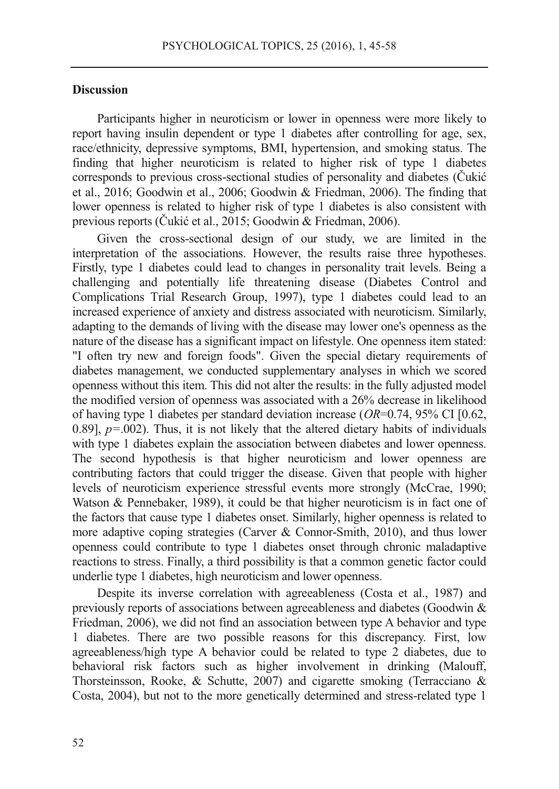#### **Discussion**

Participants higher in neuroticism or lower in openness were more likely to report having insulin dependent or type 1 diabetes after controlling for age, sex, race/ethnicity, depressive symptoms, BMI, hypertension, and smoking status. The finding that higher neuroticism is related to higher risk of type 1 diabetes corresponds to previous cross-sectional studies of personality and diabetes (Čukić et al., 2016; Goodwin et al., 2006; Goodwin & Friedman, 2006). The finding that lower openness is related to higher risk of type 1 diabetes is also consistent with previous reports (Čukić et al., 2015; Goodwin & Friedman, 2006).

Given the cross-sectional design of our study, we are limited in the interpretation of the associations. However, the results raise three hypotheses. Firstly, type 1 diabetes could lead to changes in personality trait levels. Being a challenging and potentially life threatening disease (Diabetes Control and Complications Trial Research Group, 1997), type 1 diabetes could lead to an increased experience of anxiety and distress associated with neuroticism. Similarly, adapting to the demands of living with the disease may lower one's openness as the nature of the disease has a significant impact on lifestyle. One openness item stated: "I often try new and foreign foods". Given the special dietary requirements of diabetes management, we conducted supplementary analyses in which we scored openness without this item. This did not alter the results: in the fully adjusted model the modified version of openness was associated with a 26% decrease in likelihood of having type 1 diabetes per standard deviation increase (*OR*=0.74, 95% CI [0.62, 0.89], *p=*.002). Thus, it is not likely that the altered dietary habits of individuals with type 1 diabetes explain the association between diabetes and lower openness. The second hypothesis is that higher neuroticism and lower openness are contributing factors that could trigger the disease. Given that people with higher levels of neuroticism experience stressful events more strongly (McCrae, 1990; Watson & Pennebaker, 1989), it could be that higher neuroticism is in fact one of the factors that cause type 1 diabetes onset. Similarly, higher openness is related to more adaptive coping strategies (Carver & Connor-Smith, 2010), and thus lower openness could contribute to type 1 diabetes onset through chronic maladaptive reactions to stress. Finally, a third possibility is that a common genetic factor could underlie type 1 diabetes, high neuroticism and lower openness.

Despite its inverse correlation with agreeableness (Costa et al., 1987) and previously reports of associations between agreeableness and diabetes (Goodwin & Friedman, 2006), we did not find an association between type A behavior and type 1 diabetes. There are two possible reasons for this discrepancy. First, low agreeableness/high type A behavior could be related to type 2 diabetes, due to behavioral risk factors such as higher involvement in drinking (Malouff, Thorsteinsson, Rooke, & Schutte, 2007) and cigarette smoking (Terracciano & Costa, 2004), but not to the more genetically determined and stress-related type 1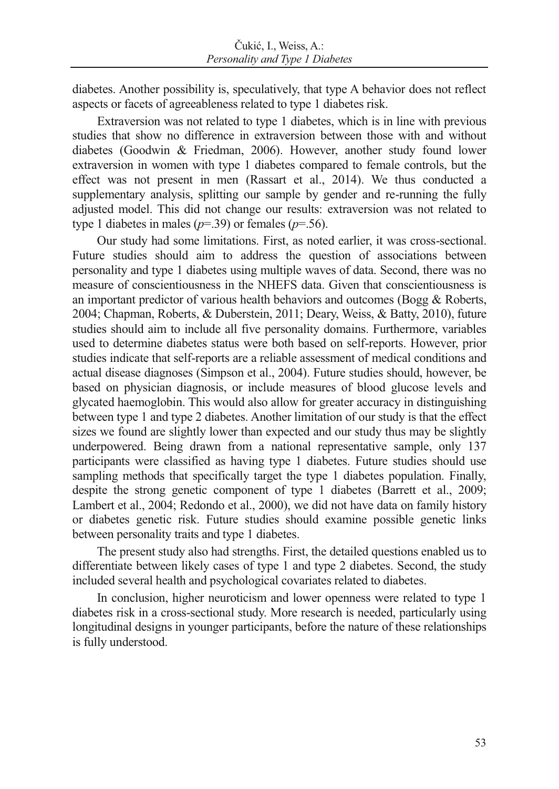diabetes. Another possibility is, speculatively, that type A behavior does not reflect aspects or facets of agreeableness related to type 1 diabetes risk.

Extraversion was not related to type 1 diabetes, which is in line with previous studies that show no difference in extraversion between those with and without diabetes (Goodwin & Friedman, 2006). However, another study found lower extraversion in women with type 1 diabetes compared to female controls, but the effect was not present in men (Rassart et al., 2014). We thus conducted a supplementary analysis, splitting our sample by gender and re-running the fully adjusted model. This did not change our results: extraversion was not related to type 1 diabetes in males ( $p=39$ ) or females ( $p=56$ ).

Our study had some limitations. First, as noted earlier, it was cross-sectional. Future studies should aim to address the question of associations between personality and type 1 diabetes using multiple waves of data. Second, there was no measure of conscientiousness in the NHEFS data. Given that conscientiousness is an important predictor of various health behaviors and outcomes (Bogg & Roberts, 2004; Chapman, Roberts, & Duberstein, 2011; Deary, Weiss, & Batty, 2010), future studies should aim to include all five personality domains. Furthermore, variables used to determine diabetes status were both based on self-reports. However, prior studies indicate that self-reports are a reliable assessment of medical conditions and actual disease diagnoses (Simpson et al., 2004). Future studies should, however, be based on physician diagnosis, or include measures of blood glucose levels and glycated haemoglobin. This would also allow for greater accuracy in distinguishing between type 1 and type 2 diabetes. Another limitation of our study is that the effect sizes we found are slightly lower than expected and our study thus may be slightly underpowered. Being drawn from a national representative sample, only 137 participants were classified as having type 1 diabetes. Future studies should use sampling methods that specifically target the type 1 diabetes population. Finally, despite the strong genetic component of type 1 diabetes (Barrett et al., 2009; Lambert et al., 2004; Redondo et al., 2000), we did not have data on family history or diabetes genetic risk. Future studies should examine possible genetic links between personality traits and type 1 diabetes.

The present study also had strengths. First, the detailed questions enabled us to differentiate between likely cases of type 1 and type 2 diabetes. Second, the study included several health and psychological covariates related to diabetes.

In conclusion, higher neuroticism and lower openness were related to type 1 diabetes risk in a cross-sectional study. More research is needed, particularly using longitudinal designs in younger participants, before the nature of these relationships is fully understood.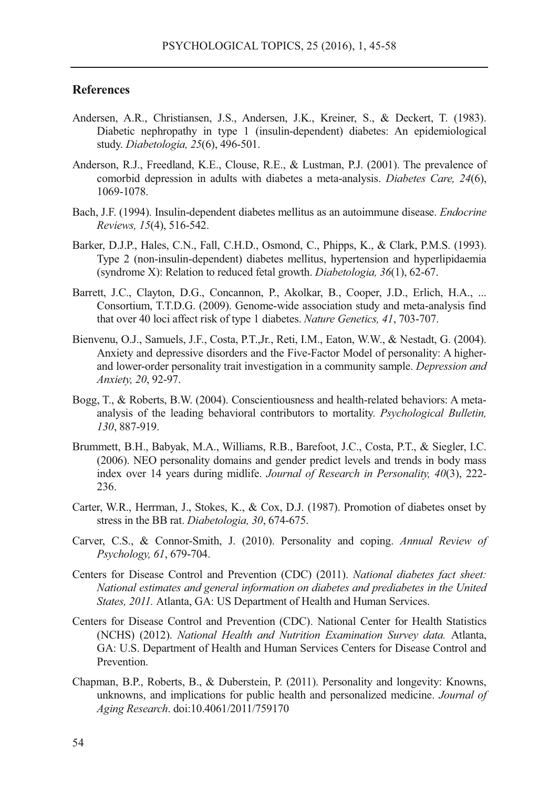#### **References**

- Andersen, A.R., Christiansen, J.S., Andersen, J.K., Kreiner, S., & Deckert, T. (1983). Diabetic nephropathy in type 1 (insulin-dependent) diabetes: An epidemiological study. *Diabetologia, 25*(6), 496-501.
- Anderson, R.J., Freedland, K.E., Clouse, R.E., & Lustman, P.J. (2001). The prevalence of comorbid depression in adults with diabetes a meta-analysis. *Diabetes Care, 24*(6), 1069-1078.
- Bach, J.F. (1994). Insulin-dependent diabetes mellitus as an autoimmune disease. *Endocrine Reviews, 15*(4), 516-542.
- Barker, D.J.P., Hales, C.N., Fall, C.H.D., Osmond, C., Phipps, K., & Clark, P.M.S. (1993). Type 2 (non-insulin-dependent) diabetes mellitus, hypertension and hyperlipidaemia (syndrome X): Relation to reduced fetal growth. *Diabetologia, 36*(1), 62-67.
- Barrett, J.C., Clayton, D.G., Concannon, P., Akolkar, B., Cooper, J.D., Erlich, H.A., ... Consortium, T.T.D.G. (2009). Genome-wide association study and meta-analysis find that over 40 loci affect risk of type 1 diabetes. *Nature Genetics, 41*, 703-707.
- Bienvenu, O.J., Samuels, J.F., Costa, P.T.,Jr., Reti, I.M., Eaton, W.W., & Nestadt, G. (2004). Anxiety and depressive disorders and the Five-Factor Model of personality: A higherand lower-order personality trait investigation in a community sample. *Depression and Anxiety, 20*, 92-97.
- Bogg, T., & Roberts, B.W. (2004). Conscientiousness and health-related behaviors: A metaanalysis of the leading behavioral contributors to mortality. *Psychological Bulletin, 130*, 887-919.
- Brummett, B.H., Babyak, M.A., Williams, R.B., Barefoot, J.C., Costa, P.T., & Siegler, I.C. (2006). NEO personality domains and gender predict levels and trends in body mass index over 14 years during midlife. *Journal of Research in Personality, 40*(3), 222- 236.
- Carter, W.R., Herrman, J., Stokes, K., & Cox, D.J. (1987). Promotion of diabetes onset by stress in the BB rat. *Diabetologia, 30*, 674-675.
- Carver, C.S., & Connor-Smith, J. (2010). Personality and coping. *Annual Review of Psychology, 61*, 679-704.
- Centers for Disease Control and Prevention (CDC) (2011). *National diabetes fact sheet: National estimates and general information on diabetes and prediabetes in the United States, 2011.* Atlanta, GA: US Department of Health and Human Services.
- Centers for Disease Control and Prevention (CDC). National Center for Health Statistics (NCHS) (2012). *National Health and Nutrition Examination Survey data.* Atlanta, GA: U.S. Department of Health and Human Services Centers for Disease Control and Prevention.
- Chapman, B.P., Roberts, B., & Duberstein, P. (2011). Personality and longevity: Knowns, unknowns, and implications for public health and personalized medicine. *Journal of Aging Research*. doi:10.4061/2011/759170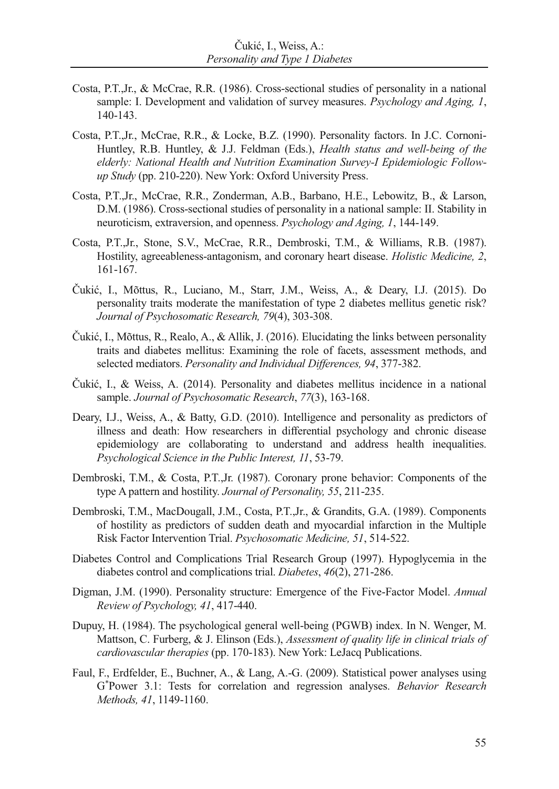- Costa, P.T.,Jr., & McCrae, R.R. (1986). Cross-sectional studies of personality in a national sample: I. Development and validation of survey measures. *Psychology and Aging, 1*, 140-143.
- Costa, P.T.,Jr., McCrae, R.R., & Locke, B.Z. (1990). Personality factors. In J.C. Cornoni-Huntley, R.B. Huntley, & J.J. Feldman (Eds.), *Health status and well-being of the elderly: National Health and Nutrition Examination Survey-I Epidemiologic Followup Study* (pp. 210-220). New York: Oxford University Press.
- Costa, P.T.,Jr., McCrae, R.R., Zonderman, A.B., Barbano, H.E., Lebowitz, B., & Larson, D.M. (1986). Cross-sectional studies of personality in a national sample: II. Stability in neuroticism, extraversion, and openness. *Psychology and Aging, 1*, 144-149.
- Costa, P.T.,Jr., Stone, S.V., McCrae, R.R., Dembroski, T.M., & Williams, R.B. (1987). Hostility, agreeableness-antagonism, and coronary heart disease. *Holistic Medicine, 2*, 161-167.
- Čukić, I., Mõttus, R., Luciano, M., Starr, J.M., Weiss, A., & Deary, I.J. (2015). Do personality traits moderate the manifestation of type 2 diabetes mellitus genetic risk? *Journal of Psychosomatic Research, 79*(4), 303-308.
- Čukić, I., Mõttus, R., Realo, A., & Allik, J. (2016). Elucidating the links between personality traits and diabetes mellitus: Examining the role of facets, assessment methods, and selected mediators. *Personality and Individual Differences, 94*, 377-382.
- Čukić, I., & Weiss, A. (2014). Personality and diabetes mellitus incidence in a national sample. *Journal of Psychosomatic Research*, *77*(3), 163-168.
- Deary, I.J., Weiss, A., & Batty, G.D. (2010). Intelligence and personality as predictors of illness and death: How researchers in differential psychology and chronic disease epidemiology are collaborating to understand and address health inequalities. *Psychological Science in the Public Interest, 11*, 53-79.
- Dembroski, T.M., & Costa, P.T.,Jr. (1987). Coronary prone behavior: Components of the type A pattern and hostility. *Journal of Personality, 55*, 211-235.
- Dembroski, T.M., MacDougall, J.M., Costa, P.T.,Jr., & Grandits, G.A. (1989). Components of hostility as predictors of sudden death and myocardial infarction in the Multiple Risk Factor Intervention Trial. *Psychosomatic Medicine, 51*, 514-522.
- Diabetes Control and Complications Trial Research Group (1997). Hypoglycemia in the diabetes control and complications trial. *Diabetes*, *46*(2), 271-286.
- Digman, J.M. (1990). Personality structure: Emergence of the Five-Factor Model. *Annual Review of Psychology, 41*, 417-440.
- Dupuy, H. (1984). The psychological general well-being (PGWB) index. In N. Wenger, M. Mattson, C. Furberg, & J. Elinson (Eds.), *Assessment of quality life in clinical trials of cardiovascular therapies* (pp. 170-183). New York: LeJacq Publications.
- Faul, F., Erdfelder, E., Buchner, A., & Lang, A.-G. (2009). Statistical power analyses using G\* Power 3.1: Tests for correlation and regression analyses. *Behavior Research Methods, 41*, 1149-1160.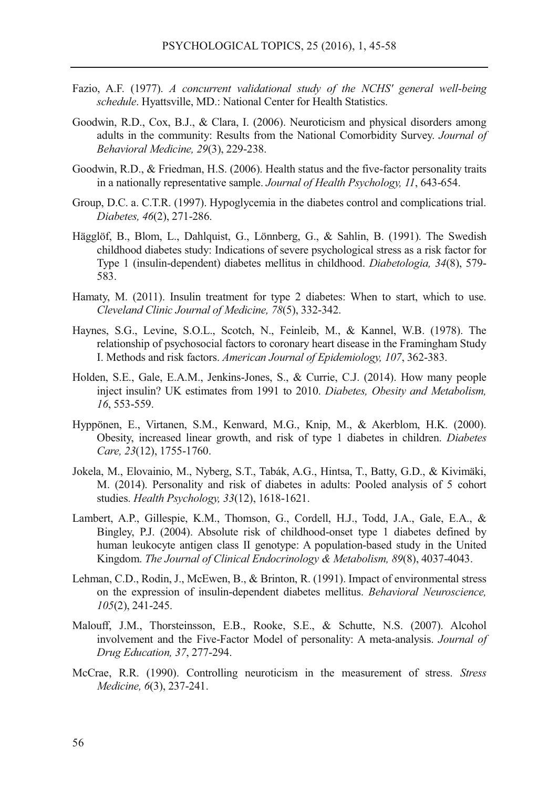- Fazio, A.F. (1977). *A concurrent validational study of the NCHS' general well-being schedule*. Hyattsville, MD.: National Center for Health Statistics.
- Goodwin, R.D., Cox, B.J., & Clara, I. (2006). Neuroticism and physical disorders among adults in the community: Results from the National Comorbidity Survey. *Journal of Behavioral Medicine, 29*(3), 229-238.
- Goodwin, R.D., & Friedman, H.S. (2006). Health status and the five-factor personality traits in a nationally representative sample. *Journal of Health Psychology, 11*, 643-654.
- Group, D.C. a. C.T.R. (1997). Hypoglycemia in the diabetes control and complications trial. *Diabetes, 46*(2), 271-286.
- Hägglöf, B., Blom, L., Dahlquist, G., Lönnberg, G., & Sahlin, B. (1991). The Swedish childhood diabetes study: Indications of severe psychological stress as a risk factor for Type 1 (insulin-dependent) diabetes mellitus in childhood. *Diabetologia, 34*(8), 579- 583.
- Hamaty, M. (2011). Insulin treatment for type 2 diabetes: When to start, which to use. *Cleveland Clinic Journal of Medicine, 78*(5), 332-342.
- Haynes, S.G., Levine, S.O.L., Scotch, N., Feinleib, M., & Kannel, W.B. (1978). The relationship of psychosocial factors to coronary heart disease in the Framingham Study I. Methods and risk factors. *American Journal of Epidemiology, 107*, 362-383.
- Holden, S.E., Gale, E.A.M., Jenkins-Jones, S., & Currie, C.J. (2014). How many people inject insulin? UK estimates from 1991 to 2010. *Diabetes, Obesity and Metabolism, 16*, 553-559.
- Hyppönen, E., Virtanen, S.M., Kenward, M.G., Knip, M., & Akerblom, H.K. (2000). Obesity, increased linear growth, and risk of type 1 diabetes in children. *Diabetes Care, 23*(12), 1755-1760.
- Jokela, M., Elovainio, M., Nyberg, S.T., Tabák, A.G., Hintsa, T., Batty, G.D., & Kivimäki, M. (2014). Personality and risk of diabetes in adults: Pooled analysis of 5 cohort studies. *Health Psychology, 33*(12), 1618-1621.
- Lambert, A.P., Gillespie, K.M., Thomson, G., Cordell, H.J., Todd, J.A., Gale, E.A., & Bingley, P.J. (2004). Absolute risk of childhood-onset type 1 diabetes defined by human leukocyte antigen class II genotype: A population-based study in the United Kingdom. *The Journal of Clinical Endocrinology & Metabolism, 89*(8), 4037-4043.
- Lehman, C.D., Rodin, J., McEwen, B., & Brinton, R. (1991). Impact of environmental stress on the expression of insulin-dependent diabetes mellitus. *Behavioral Neuroscience, 105*(2), 241-245.
- Malouff, J.M., Thorsteinsson, E.B., Rooke, S.E., & Schutte, N.S. (2007). Alcohol involvement and the Five-Factor Model of personality: A meta-analysis. *Journal of Drug Education, 37*, 277-294.
- McCrae, R.R. (1990). Controlling neuroticism in the measurement of stress. *Stress Medicine, 6*(3), 237-241.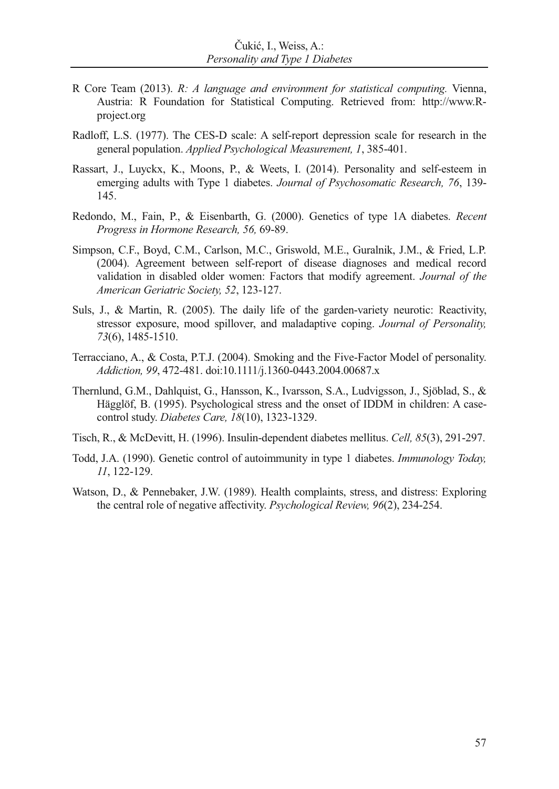- R Core Team (2013). *R: A language and environment for statistical computing.* Vienna, Austria: R Foundation for Statistical Computing. Retrieved from: http://www.Rproject.org
- Radloff, L.S. (1977). The CES-D scale: A self-report depression scale for research in the general population. *Applied Psychological Measurement, 1*, 385-401.
- Rassart, J., Luyckx, K., Moons, P., & Weets, I. (2014). Personality and self-esteem in emerging adults with Type 1 diabetes. *Journal of Psychosomatic Research, 76*, 139- 145.
- Redondo, M., Fain, P., & Eisenbarth, G. (2000). Genetics of type 1A diabetes. *Recent Progress in Hormone Research, 56,* 69-89.
- Simpson, C.F., Boyd, C.M., Carlson, M.C., Griswold, M.E., Guralnik, J.M., & Fried, L.P. (2004). Agreement between self-report of disease diagnoses and medical record validation in disabled older women: Factors that modify agreement. *Journal of the American Geriatric Society, 52*, 123-127.
- Suls, J., & Martin, R. (2005). The daily life of the garden-variety neurotic: Reactivity, stressor exposure, mood spillover, and maladaptive coping. *Journal of Personality, 73*(6), 1485-1510.
- Terracciano, A., & Costa, P.T.J. (2004). Smoking and the Five-Factor Model of personality. *Addiction, 99*, 472-481. doi:10.1111/j.1360-0443.2004.00687.x
- Thernlund, G.M., Dahlquist, G., Hansson, K., Ivarsson, S.A., Ludvigsson, J., Sjöblad, S., & Hägglöf, B. (1995). Psychological stress and the onset of IDDM in children: A casecontrol study. *Diabetes Care, 18*(10), 1323-1329.
- Tisch, R., & McDevitt, H. (1996). Insulin-dependent diabetes mellitus. *Cell, 85*(3), 291-297.
- Todd, J.A. (1990). Genetic control of autoimmunity in type 1 diabetes. *Immunology Today, 11*, 122-129.
- Watson, D., & Pennebaker, J.W. (1989). Health complaints, stress, and distress: Exploring the central role of negative affectivity. *Psychological Review, 96*(2), 234-254.